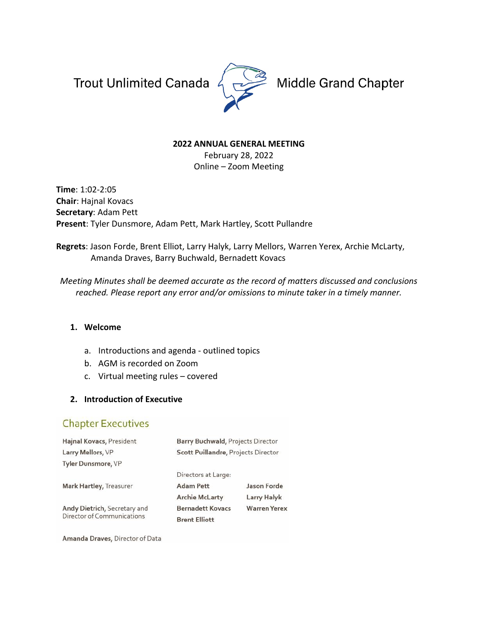Trout Unlimited Canada 4



Middle Grand Chapter

#### **2022 ANNUAL GENERAL MEETING**

February 28, 2022 Online – Zoom Meeting

**Time**: 1:02-2:05 **Chair**: Hajnal Kovacs **Secretary**: Adam Pett **Present**: Tyler Dunsmore, Adam Pett, Mark Hartley, Scott Pullandre

**Regrets**: Jason Forde, Brent Elliot, Larry Halyk, Larry Mellors, Warren Yerex, Archie McLarty, Amanda Draves, Barry Buchwald, Bernadett Kovacs

*Meeting Minutes shall be deemed accurate as the record of matters discussed and conclusions reached. Please report any error and/or omissions to minute taker in a timely manner.*

# **1. Welcome**

- a. Introductions and agenda outlined topics
- b. AGM is recorded on Zoom
- c. Virtual meeting rules covered

# **2. Introduction of Executive**

# **Chapter Executives**

| Hajnal Kovacs, President                                   | Barry Buchwald, Projects Director   |                     |  |  |
|------------------------------------------------------------|-------------------------------------|---------------------|--|--|
| Larry Mellors, VP                                          | Scott Puillandre, Projects Director |                     |  |  |
| <b>Tyler Dunsmore, VP</b>                                  |                                     |                     |  |  |
|                                                            | Directors at Large:                 |                     |  |  |
| Mark Hartley, Treasurer                                    | <b>Adam Pett</b>                    | Jason Forde         |  |  |
|                                                            | <b>Archie McLarty</b>               | <b>Larry Halyk</b>  |  |  |
| Andy Dietrich, Secretary and<br>Director of Communications | <b>Bernadett Kovacs</b>             | <b>Warren Yerex</b> |  |  |
|                                                            | <b>Brent Elliott</b>                |                     |  |  |

Amanda Draves, Director of Data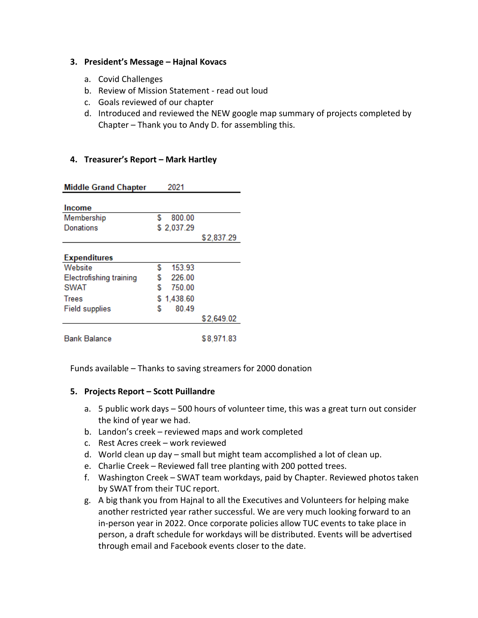#### **3. President's Message – Hajnal Kovacs**

- a. Covid Challenges
- b. Review of Mission Statement read out loud
- c. Goals reviewed of our chapter
- d. Introduced and reviewed the NEW google map summary of projects completed by Chapter – Thank you to Andy D. for assembling this.

# **4. Treasurer's Report – Mark Hartley**

| <b>Middle Grand Chapter</b>    | 2021        |            |
|--------------------------------|-------------|------------|
| <b>Income</b>                  |             |            |
| Membership                     | 800.00<br>S |            |
| <b>Donations</b>               | \$2,037.29  |            |
|                                |             | \$2,837.29 |
| <b>Expenditures</b>            |             |            |
| Website                        | 153.93<br>S |            |
| <b>Electrofishing training</b> | S<br>226.00 |            |
| <b>SWAT</b>                    | S<br>750.00 |            |
| <b>Trees</b>                   | \$1,438.60  |            |
| <b>Field supplies</b>          | 80.49<br>S  |            |
|                                |             | \$2,649.02 |
| Bank Balance                   |             | \$8,971.83 |

Funds available – Thanks to saving streamers for 2000 donation

# **5. Projects Report – Scott Puillandre**

- a. 5 public work days 500 hours of volunteer time, this was a great turn out consider the kind of year we had.
- b. Landon's creek reviewed maps and work completed
- c. Rest Acres creek work reviewed
- d. World clean up day small but might team accomplished a lot of clean up.
- e. Charlie Creek Reviewed fall tree planting with 200 potted trees.
- f. Washington Creek SWAT team workdays, paid by Chapter. Reviewed photos taken by SWAT from their TUC report.
- g. A big thank you from Hajnal to all the Executives and Volunteers for helping make another restricted year rather successful. We are very much looking forward to an in-person year in 2022. Once corporate policies allow TUC events to take place in person, a draft schedule for workdays will be distributed. Events will be advertised through email and Facebook events closer to the date.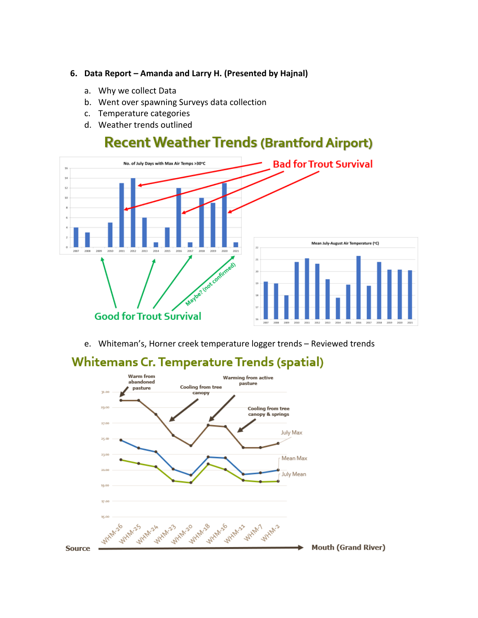#### **6. Data Report – Amanda and Larry H. (Presented by Hajnal)**

- a. Why we collect Data
- b. Went over spawning Surveys data collection
- c. Temperature categories
- d. Weather trends outlined

# **Recent Weather Trends (Brantford Airport)**



e. Whiteman's, Horner creek temperature logger trends – Reviewed trends



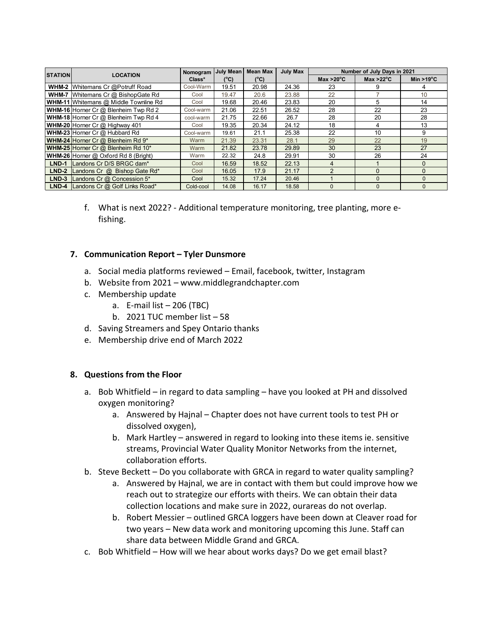|                | <b>LOCATION</b>                              | Nomogram  | <b>July Mean</b> | <b>Mean Max</b> | <b>July Max</b> | Number of July Days in 2021 |                     |                      |
|----------------|----------------------------------------------|-----------|------------------|-----------------|-----------------|-----------------------------|---------------------|----------------------|
| <b>STATION</b> |                                              | Class*    | $(^{\circ}C)$    | $(^{\circ}C)$   |                 | Max $>20^{\circ}$ C         | Max $>22^{\circ}$ C | Min >19 $^{\circ}$ C |
|                | <b>WHM-2</b> Whitemans Cr @Potruff Road      | Cool-Warm | 19.51            | 20.98           | 24.36           | 23                          | 9                   | 4                    |
|                | <b>WHM-7</b> Whitemans Cr @ BishopGate Rd    | Cool      | 19.47            | 20.6            | 23.88           | 22                          |                     | 10                   |
|                | <b>WHM-11</b> Whitemans @ Middle Townline Rd | Cool      | 19.68            | 20.46           | 23.83           | 20                          | 5                   | 14                   |
|                | WHM-16 Horner Cr @ Blenheim Twp Rd 2         | Cool-warm | 21.06            | 22.51           | 26.52           | 28                          | 22                  | 23                   |
|                | WHM-18 Horner Cr @ Blenheim Twp Rd 4         | cool-warm | 21.75            | 22.66           | 26.7            | 28                          | 20                  | 28                   |
|                | WHM-20 Horner Cr @ Highway 401               | Cool      | 19.35            | 20.34           | 24.12           | 18                          | 4                   | 13                   |
|                | WHM-23 Horner Cr @ Hubbard Rd                | Cool-warm | 19.61            | 21.1            | 25.38           | 22                          | 10                  | 9                    |
|                | <b>WHM-24</b> Horner Cr $@$ Blenheim Rd $9*$ | Warm      | 21.39            | 23.31           | 28.1            | 29                          | 22                  | 19                   |
|                | WHM-25 Horner Cr @ Blenheim Rd 10*           | Warm      | 21.82            | 23.78           | 29.89           | 30                          | 23                  | 27                   |
|                | WHM-26 Horner @ Oxford Rd 8 (Bright)         | Warm      | 22.32            | 24.8            | 29.91           | 30                          | 26                  | 24                   |
| $LND-1$        | Landons Cr D/S BRGC dam*                     | Cool      | 16.59            | 18.52           | 22.13           | 4                           |                     | $\Omega$             |
| $LND-2$        | Landons Cr @ Bishop Gate Rd*                 | Cool      | 16.05            | 17.9            | 21.17           | $\mathcal{P}$               | $\mathbf{0}$        | $\mathbf{0}$         |
| $LND-3$        | Landons Cr @ Concession 5*                   | Cool      | 15.32            | 17.24           | 20.46           |                             | $\Omega$            | $\Omega$             |
|                | <b>LND-4</b> Landons Cr @ Golf Links Road*   | Cold-cool | 14.08            | 16.17           | 18.58           | $\Omega$                    | $\Omega$            | $\Omega$             |

f. What is next 2022? - Additional temperature monitoring, tree planting, more efishing.

#### **7. Communication Report – Tyler Dunsmore**

- a. Social media platforms reviewed Email, facebook, twitter, Instagram
- b. Website from 2021 www.middlegrandchapter.com
- c. Membership update
	- a.  $E$ -mail list  $-206$  (TBC)
	- b. 2021 TUC member list 58
- d. Saving Streamers and Spey Ontario thanks
- e. Membership drive end of March 2022

#### **8. Questions from the Floor**

- a. Bob Whitfield in regard to data sampling have you looked at PH and dissolved oxygen monitoring?
	- a. Answered by Hajnal Chapter does not have current tools to test PH or dissolved oxygen),
	- b. Mark Hartley answered in regard to looking into these items ie. sensitive streams, Provincial Water Quality Monitor Networks from the internet, collaboration efforts.
- b. Steve Beckett Do you collaborate with GRCA in regard to water quality sampling?
	- a. Answered by Hajnal, we are in contact with them but could improve how we reach out to strategize our efforts with theirs. We can obtain their data collection locations and make sure in 2022, ourareas do not overlap.
	- b. Robert Messier outlined GRCA loggers have been down at Cleaver road for two years – New data work and monitoring upcoming this June. Staff can share data between Middle Grand and GRCA.
- c. Bob Whitfield How will we hear about works days? Do we get email blast?